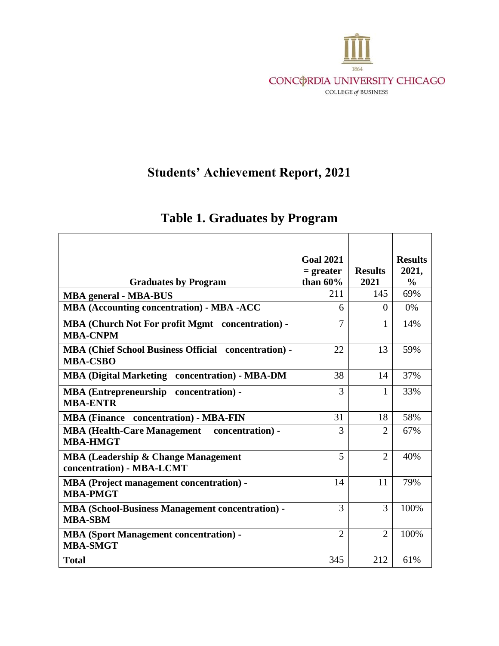

## **Students' Achievement Report, 2021**

|                                                                                | <b>Goal 2021</b><br>$=$ greater | <b>Results</b> | <b>Results</b><br>2021, |
|--------------------------------------------------------------------------------|---------------------------------|----------------|-------------------------|
| <b>Graduates by Program</b>                                                    | than $60\%$<br>211              | 2021<br>145    | $\frac{0}{0}$<br>69%    |
| <b>MBA</b> general - MBA-BUS                                                   |                                 |                |                         |
| <b>MBA (Accounting concentration) - MBA -ACC</b>                               | 6                               | $\Omega$       | $0\%$                   |
| <b>MBA (Church Not For profit Mgmt concentration) -</b><br><b>MBA-CNPM</b>     | $\overline{7}$                  | 1              | 14%                     |
| <b>MBA (Chief School Business Official concentration) -</b><br><b>MBA-CSBO</b> | 22                              | 13             | 59%                     |
| <b>MBA (Digital Marketing concentration) - MBA-DM</b>                          | 38                              | 14             | 37%                     |
| <b>MBA</b> (Entrepreneurship concentration) -<br><b>MBA-ENTR</b>               | 3                               | 1              | 33%                     |
| concentration) - MBA-FIN<br><b>MBA</b> (Finance                                | 31                              | 18             | 58%                     |
| <b>MBA (Health-Care Management</b><br>concentration) -<br><b>MBA-HMGT</b>      | 3                               | $\overline{2}$ | 67%                     |
| <b>MBA (Leadership &amp; Change Management</b><br>concentration) - MBA-LCMT    | 5                               | $\overline{2}$ | 40%                     |
| <b>MBA</b> (Project management concentration) -<br><b>MBA-PMGT</b>             | 14                              | 11             | 79%                     |
| <b>MBA (School-Business Management concentration) -</b><br><b>MBA-SBM</b>      | 3                               | 3              | 100%                    |
| <b>MBA (Sport Management concentration) -</b><br><b>MBA-SMGT</b>               | $\overline{2}$                  | $\overline{2}$ | 100%                    |
| <b>Total</b>                                                                   | 345                             | 212            | 61%                     |

## **Table 1. Graduates by Program**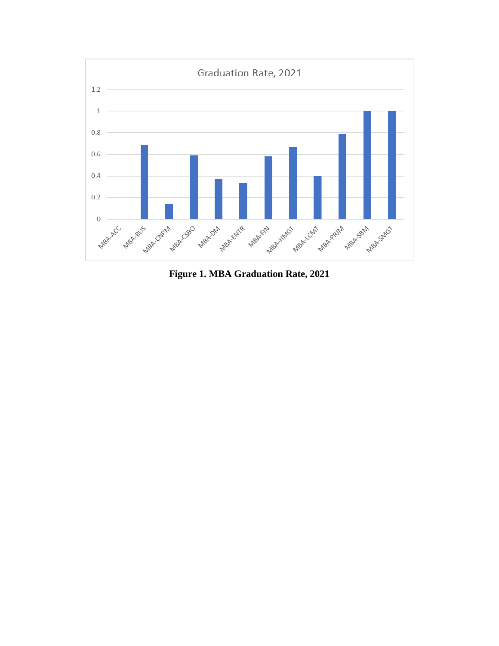

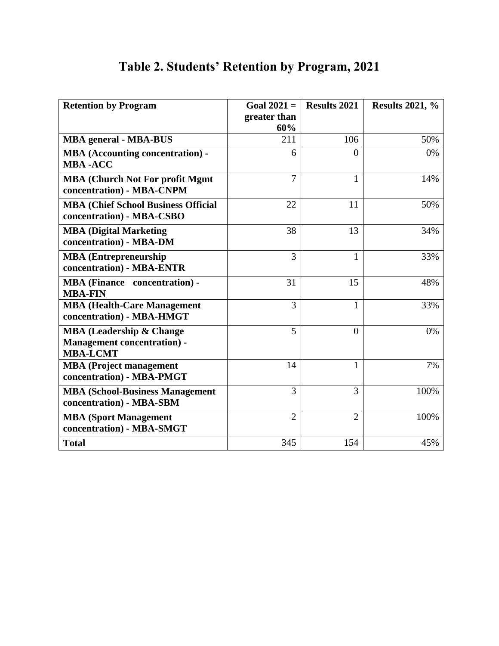| <b>Retention by Program</b>                                                                   | Goal $2021 =$       | <b>Results 2021</b> | <b>Results 2021, %</b> |
|-----------------------------------------------------------------------------------------------|---------------------|---------------------|------------------------|
|                                                                                               | greater than<br>60% |                     |                        |
| <b>MBA</b> general - MBA-BUS                                                                  | 211                 | 106                 | 50%                    |
| <b>MBA</b> (Accounting concentration) -<br><b>MBA-ACC</b>                                     | 6                   | $\theta$            | 0%                     |
| <b>MBA (Church Not For profit Mgmt)</b><br>concentration) - MBA-CNPM                          | 7                   | 1                   | 14%                    |
| <b>MBA (Chief School Business Official</b><br>concentration) - MBA-CSBO                       | 22                  | 11                  | 50%                    |
| <b>MBA (Digital Marketing</b><br>concentration) - MBA-DM                                      | 38                  | 13                  | 34%                    |
| <b>MBA</b> (Entrepreneurship<br>concentration) - MBA-ENTR                                     | 3                   | $\mathbf{1}$        | 33%                    |
| <b>MBA</b> (Finance concentration) -<br><b>MBA-FIN</b>                                        | 31                  | 15                  | 48%                    |
| <b>MBA (Health-Care Management</b><br>concentration) - MBA-HMGT                               | 3                   | 1                   | 33%                    |
| <b>MBA (Leadership &amp; Change)</b><br><b>Management concentration) -</b><br><b>MBA-LCMT</b> | 5                   | $\Omega$            | 0%                     |
| <b>MBA</b> (Project management<br>concentration) - MBA-PMGT                                   | 14                  | 1                   | 7%                     |
| <b>MBA (School-Business Management</b><br>concentration) - MBA-SBM                            | 3                   | 3                   | 100%                   |
| <b>MBA (Sport Management</b><br>concentration) - MBA-SMGT                                     | $\overline{2}$      | $\overline{2}$      | 100%                   |
| <b>Total</b>                                                                                  | 345                 | 154                 | 45%                    |

## **Table 2. Students' Retention by Program, 2021**